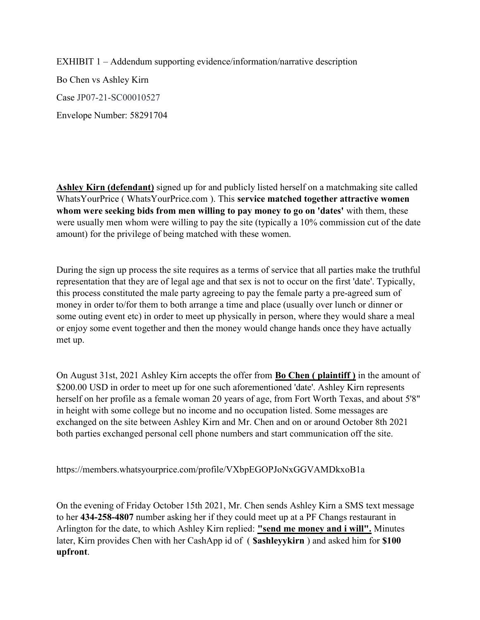EXHIBIT 1 – Addendum supporting evidence/information/narrative description Bo Chen vs Ashley Kirn Case JP07-21-SC00010527 Envelope Number: 58291704

Ashley Kirn (defendant) signed up for and publicly listed herself on a matchmaking site called WhatsYourPrice ( WhatsYourPrice.com ). This service matched together attractive women whom were seeking bids from men willing to pay money to go on 'dates' with them, these were usually men whom were willing to pay the site (typically a 10% commission cut of the date amount) for the privilege of being matched with these women.

During the sign up process the site requires as a terms of service that all parties make the truthful representation that they are of legal age and that sex is not to occur on the first 'date'. Typically, this process constituted the male party agreeing to pay the female party a pre-agreed sum of money in order to/for them to both arrange a time and place (usually over lunch or dinner or some outing event etc) in order to meet up physically in person, where they would share a meal or enjoy some event together and then the money would change hands once they have actually met up.

On August 31st, 2021 Ashley Kirn accepts the offer from Bo Chen ( plaintiff ) in the amount of \$200.00 USD in order to meet up for one such aforementioned 'date'. Ashley Kirn represents herself on her profile as a female woman 20 years of age, from Fort Worth Texas, and about 5'8" in height with some college but no income and no occupation listed. Some messages are exchanged on the site between Ashley Kirn and Mr. Chen and on or around October 8th 2021 both parties exchanged personal cell phone numbers and start communication off the site.

https://members.whatsyourprice.com/profile/VXbpEGOPJoNxGGVAMDkxoB1a

On the evening of Friday October 15th 2021, Mr. Chen sends Ashley Kirn a SMS text message to her 434-258-4807 number asking her if they could meet up at a PF Changs restaurant in Arlington for the date, to which Ashley Kirn replied: "send me money and i will". Minutes later, Kirn provides Chen with her CashApp id of ( **\$ashleyvkirn**) and asked him for **\$100** upfront.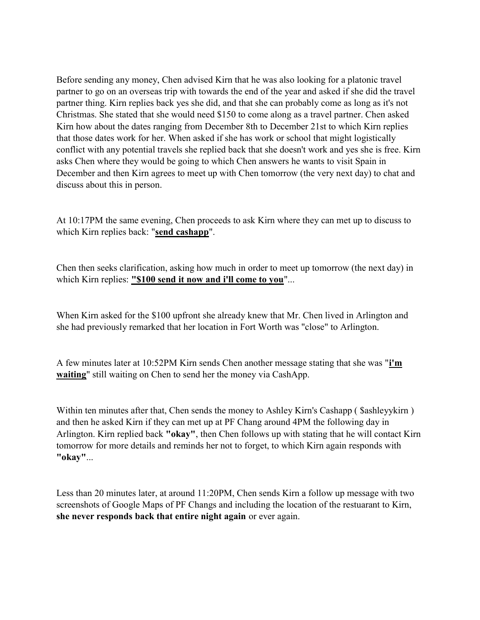Before sending any money, Chen advised Kirn that he was also looking for a platonic travel partner to go on an overseas trip with towards the end of the year and asked if she did the travel partner thing. Kirn replies back yes she did, and that she can probably come as long as it's not Christmas. She stated that she would need \$150 to come along as a travel partner. Chen asked Kirn how about the dates ranging from December 8th to December 21st to which Kirn replies that those dates work for her. When asked if she has work or school that might logistically conflict with any potential travels she replied back that she doesn't work and yes she is free. Kirn asks Chen where they would be going to which Chen answers he wants to visit Spain in December and then Kirn agrees to meet up with Chen tomorrow (the very next day) to chat and discuss about this in person.

At 10:17PM the same evening, Chen proceeds to ask Kirn where they can met up to discuss to which Kirn replies back: "send cashapp".

Chen then seeks clarification, asking how much in order to meet up tomorrow (the next day) in which Kirn replies: "\$100 send it now and i'll come to you"...

When Kirn asked for the \$100 upfront she already knew that Mr. Chen lived in Arlington and she had previously remarked that her location in Fort Worth was "close" to Arlington.

A few minutes later at 10:52PM Kirn sends Chen another message stating that she was "i'm waiting" still waiting on Chen to send her the money via CashApp.

Within ten minutes after that, Chen sends the money to Ashley Kirn's Cashapp (Sashleyykirn) and then he asked Kirn if they can met up at PF Chang around 4PM the following day in Arlington. Kirn replied back "okay", then Chen follows up with stating that he will contact Kirn tomorrow for more details and reminds her not to forget, to which Kirn again responds with "okay"...

Less than 20 minutes later, at around 11:20PM, Chen sends Kirn a follow up message with two screenshots of Google Maps of PF Changs and including the location of the restuarant to Kirn, she never responds back that entire night again or ever again.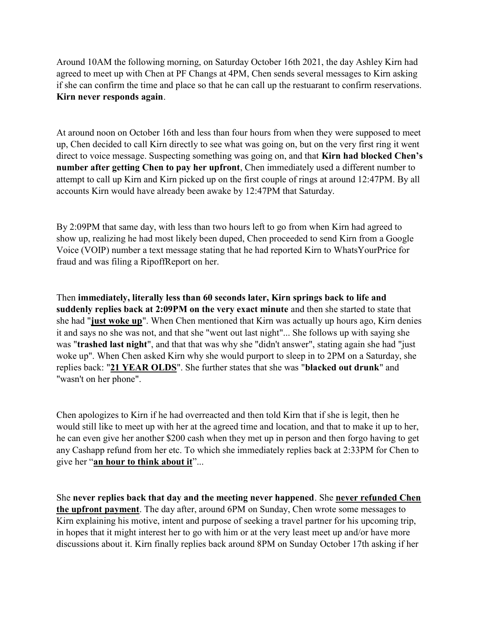Around 10AM the following morning, on Saturday October 16th 2021, the day Ashley Kirn had agreed to meet up with Chen at PF Changs at 4PM, Chen sends several messages to Kirn asking if she can confirm the time and place so that he can call up the restuarant to confirm reservations. Kirn never responds again.

At around noon on October 16th and less than four hours from when they were supposed to meet up, Chen decided to call Kirn directly to see what was going on, but on the very first ring it went direct to voice message. Suspecting something was going on, and that **Kirn had blocked Chen's** number after getting Chen to pay her upfront, Chen immediately used a different number to attempt to call up Kirn and Kirn picked up on the first couple of rings at around 12:47PM. By all accounts Kirn would have already been awake by 12:47PM that Saturday.

By 2:09PM that same day, with less than two hours left to go from when Kirn had agreed to show up, realizing he had most likely been duped, Chen proceeded to send Kirn from a Google Voice (VOIP) number a text message stating that he had reported Kirn to WhatsYourPrice for fraud and was filing a RipoffReport on her.

Then immediately, literally less than 60 seconds later, Kirn springs back to life and suddenly replies back at 2:09PM on the very exact minute and then she started to state that she had "just woke up". When Chen mentioned that Kirn was actually up hours ago, Kirn denies it and says no she was not, and that she "went out last night"... She follows up with saying she was "trashed last night", and that that was why she "didn't answer", stating again she had "just woke up". When Chen asked Kirn why she would purport to sleep in to 2PM on a Saturday, she replies back: "21 YEAR OLDS". She further states that she was "blacked out drunk" and "wasn't on her phone".

Chen apologizes to Kirn if he had overreacted and then told Kirn that if she is legit, then he would still like to meet up with her at the agreed time and location, and that to make it up to her, he can even give her another \$200 cash when they met up in person and then forgo having to get any Cashapp refund from her etc. To which she immediately replies back at 2:33PM for Chen to give her "an hour to think about it"...

She never replies back that day and the meeting never happened. She never refunded Chen the upfront payment. The day after, around 6PM on Sunday, Chen wrote some messages to Kirn explaining his motive, intent and purpose of seeking a travel partner for his upcoming trip, in hopes that it might interest her to go with him or at the very least meet up and/or have more discussions about it. Kirn finally replies back around 8PM on Sunday October 17th asking if her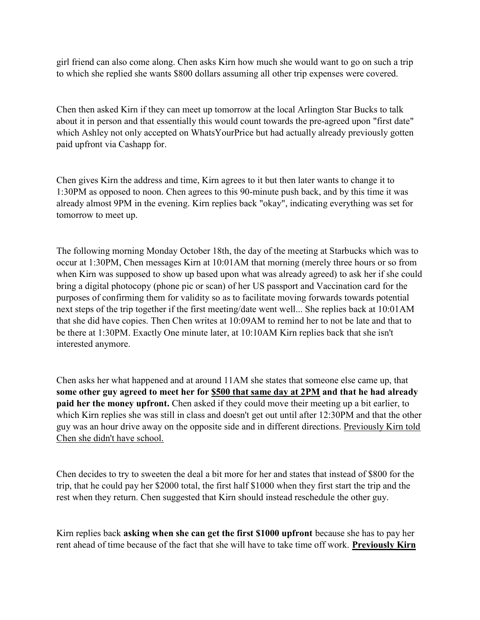girl friend can also come along. Chen asks Kirn how much she would want to go on such a trip to which she replied she wants \$800 dollars assuming all other trip expenses were covered.

Chen then asked Kirn if they can meet up tomorrow at the local Arlington Star Bucks to talk about it in person and that essentially this would count towards the pre-agreed upon "first date" which Ashley not only accepted on WhatsYourPrice but had actually already previously gotten paid upfront via Cashapp for.

Chen gives Kirn the address and time, Kirn agrees to it but then later wants to change it to 1:30PM as opposed to noon. Chen agrees to this 90-minute push back, and by this time it was already almost 9PM in the evening. Kirn replies back "okay", indicating everything was set for tomorrow to meet up.

The following morning Monday October 18th, the day of the meeting at Starbucks which was to occur at 1:30PM, Chen messages Kirn at 10:01AM that morning (merely three hours or so from when Kirn was supposed to show up based upon what was already agreed) to ask her if she could bring a digital photocopy (phone pic or scan) of her US passport and Vaccination card for the purposes of confirming them for validity so as to facilitate moving forwards towards potential next steps of the trip together if the first meeting/date went well... She replies back at 10:01AM that she did have copies. Then Chen writes at 10:09AM to remind her to not be late and that to be there at 1:30PM. Exactly One minute later, at 10:10AM Kirn replies back that she isn't interested anymore.

Chen asks her what happened and at around 11AM she states that someone else came up, that some other guy agreed to meet her for \$500 that same day at 2PM and that he had already paid her the money upfront. Chen asked if they could move their meeting up a bit earlier, to which Kirn replies she was still in class and doesn't get out until after 12:30PM and that the other guy was an hour drive away on the opposite side and in different directions. Previously Kirn told Chen she didn't have school.

Chen decides to try to sweeten the deal a bit more for her and states that instead of \$800 for the trip, that he could pay her \$2000 total, the first half \$1000 when they first start the trip and the rest when they return. Chen suggested that Kirn should instead reschedule the other guy.

Kirn replies back asking when she can get the first \$1000 upfront because she has to pay her rent ahead of time because of the fact that she will have to take time off work. Previously Kirn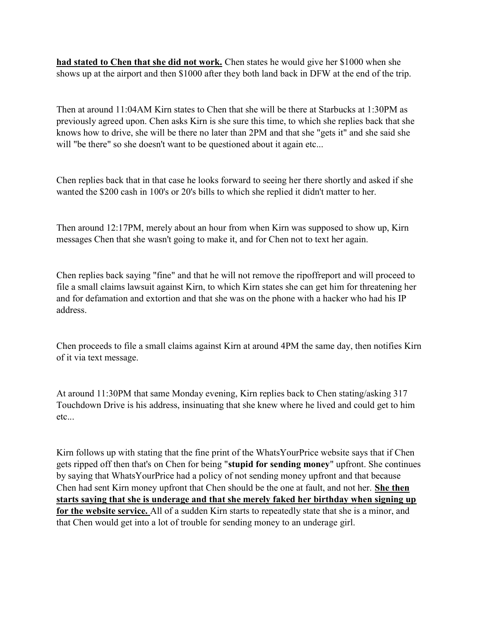had stated to Chen that she did not work. Chen states he would give her \$1000 when she shows up at the airport and then \$1000 after they both land back in DFW at the end of the trip.

Then at around 11:04AM Kirn states to Chen that she will be there at Starbucks at 1:30PM as previously agreed upon. Chen asks Kirn is she sure this time, to which she replies back that she knows how to drive, she will be there no later than 2PM and that she "gets it" and she said she will "be there" so she doesn't want to be questioned about it again etc...

Chen replies back that in that case he looks forward to seeing her there shortly and asked if she wanted the \$200 cash in 100's or 20's bills to which she replied it didn't matter to her.

Then around 12:17PM, merely about an hour from when Kirn was supposed to show up, Kirn messages Chen that she wasn't going to make it, and for Chen not to text her again.

Chen replies back saying "fine" and that he will not remove the ripoffreport and will proceed to file a small claims lawsuit against Kirn, to which Kirn states she can get him for threatening her and for defamation and extortion and that she was on the phone with a hacker who had his IP address.

Chen proceeds to file a small claims against Kirn at around 4PM the same day, then notifies Kirn of it via text message.

At around 11:30PM that same Monday evening, Kirn replies back to Chen stating/asking 317 Touchdown Drive is his address, insinuating that she knew where he lived and could get to him etc...

Kirn follows up with stating that the fine print of the WhatsYourPrice website says that if Chen gets ripped off then that's on Chen for being "stupid for sending money" upfront. She continues by saying that WhatsYourPrice had a policy of not sending money upfront and that because Chen had sent Kirn money upfront that Chen should be the one at fault, and not her. She then starts saying that she is underage and that she merely faked her birthday when signing up for the website service. All of a sudden Kirn starts to repeatedly state that she is a minor, and that Chen would get into a lot of trouble for sending money to an underage girl.